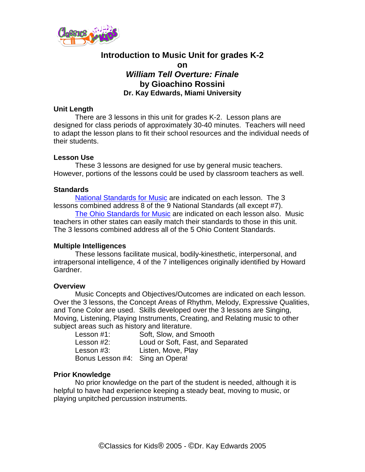

# **Introduction to Music Unit for grades K-2 on** *William Tell Overture: Finale*  **by Gioachino Rossini Dr. Kay Edwards, Miami University**

### **Unit Length**

There are 3 lessons in this unit for grades K-2. Lesson plans are designed for class periods of approximately 30-40 minutes. Teachers will need to adapt the lesson plans to fit their school resources and the individual needs of their students.

### **Lesson Use**

These 3 lessons are designed for use by general music teachers. However, portions of the lessons could be used by classroom teachers as well.

### **Standards**

[National Standards for Music](http://www.menc.org/resources/view/national-standards-for-music-education) are indicated on each lesson. The 3 lessons combined address 8 of the 9 National Standards (all except #7). [The Ohio Standards for Music](http://www.ode.state.oh.us/GD/Templates/Pages/ODE/ODEdetail.aspx?page=3&TopicRelationID=1700&ContentID=1388&Content=110069) are indicated on each lesson also. Music teachers in other states can easily match their standards to those in this unit. The 3 lessons combined address all of the 5 Ohio Content Standards.

## **Multiple Intelligences**

These lessons facilitate musical, bodily-kinesthetic, interpersonal, and intrapersonal intelligence, 4 of the 7 intelligences originally identified by Howard Gardner.

#### **Overview**

Music Concepts and Objectives/Outcomes are indicated on each lesson. Over the 3 lessons, the Concept Areas of Rhythm, Melody, Expressive Qualities, and Tone Color are used. Skills developed over the 3 lessons are Singing, Moving, Listening, Playing Instruments, Creating, and Relating music to other subject areas such as history and literature.

| Lesson #1:                      | Soft, Slow, and Smooth            |
|---------------------------------|-----------------------------------|
| Lesson #2:                      | Loud or Soft, Fast, and Separated |
| Lesson #3:                      | Listen, Move, Play                |
| Bonus Lesson #4: Sing an Opera! |                                   |

#### **Prior Knowledge**

No prior knowledge on the part of the student is needed, although it is helpful to have had experience keeping a steady beat, moving to music, or playing unpitched percussion instruments.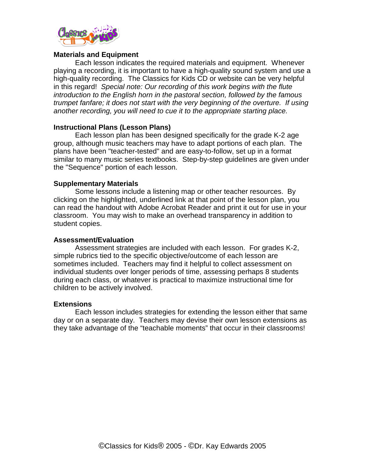

#### **Materials and Equipment**

Each lesson indicates the required materials and equipment. Whenever playing a recording, it is important to have a high-quality sound system and use a high-quality recording. The Classics for Kids CD or website can be very helpful in this regard! *Special note: Our recording of this work begins with the flute introduction to the English horn in the pastoral section, followed by the famous trumpet fanfare; it does not start with the very beginning of the overture. If using another recording, you will need to cue it to the appropriate starting place.*

### **Instructional Plans (Lesson Plans)**

Each lesson plan has been designed specifically for the grade K-2 age group, although music teachers may have to adapt portions of each plan. The plans have been "teacher-tested" and are easy-to-follow, set up in a format similar to many music series textbooks. Step-by-step guidelines are given under the "Sequence" portion of each lesson.

### **Supplementary Materials**

Some lessons include a listening map or other teacher resources. By clicking on the highlighted, underlined link at that point of the lesson plan, you can read the handout with Adobe Acrobat Reader and print it out for use in your classroom. You may wish to make an overhead transparency in addition to student copies.

### **Assessment/Evaluation**

Assessment strategies are included with each lesson. For grades K-2, simple rubrics tied to the specific objective/outcome of each lesson are sometimes included. Teachers may find it helpful to collect assessment on individual students over longer periods of time, assessing perhaps 8 students during each class, or whatever is practical to maximize instructional time for children to be actively involved.

#### **Extensions**

Each lesson includes strategies for extending the lesson either that same day or on a separate day. Teachers may devise their own lesson extensions as they take advantage of the "teachable moments" that occur in their classrooms!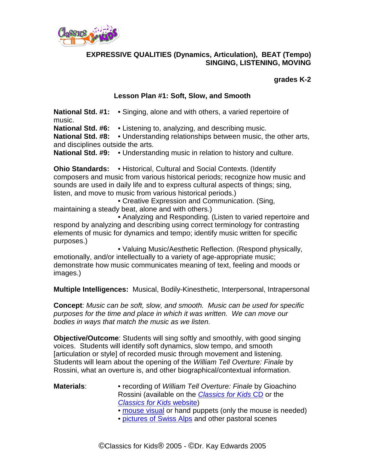

## **EXPRESSIVE QUALITIES (Dynamics, Articulation), BEAT (Tempo) SINGING, LISTENING, MOVING**

### **grades K-2**

## **Lesson Plan #1: Soft, Slow, and Smooth**

**National Std. #1: •** Singing, alone and with others, a varied repertoire of music.

**National Std. #6:** • Listening to, analyzing, and describing music.

**National Std. #8:** • Understanding relationships between music, the other arts, and disciplines outside the arts.

**National Std. #9:** • Understanding music in relation to history and culture.

**Ohio Standards:** • Historical, Cultural and Social Contexts. (Identify composers and music from various historical periods; recognize how music and sounds are used in daily life and to express cultural aspects of things; sing, listen, and move to music from various historical periods.)

• Creative Expression and Communication. (Sing, maintaining a steady beat, alone and with others.)

• Analyzing and Responding. (Listen to varied repertoire and respond by analyzing and describing using correct terminology for contrasting elements of music for dynamics and tempo; identify music written for specific purposes.)

• Valuing Music/Aesthetic Reflection. (Respond physically, emotionally, and/or intellectually to a variety of age-appropriate music; demonstrate how music communicates meaning of text, feeling and moods or images.)

**Multiple Intelligences:** Musical, Bodily-Kinesthetic, Interpersonal, Intrapersonal

**Concept**: *Music can be soft, slow, and smooth. Music can be used for specific purposes for the time and place in which it was written. We can move our bodies in ways that match the music as we listen.*

**Objective/Outcome**: Students will sing softly and smoothly, with good singing voices. Students will identify soft dynamics, slow tempo, and smooth [articulation or style] of recorded music through movement and listening. Students will learn about the opening of the *William Tell Overture: Finale* by Rossini, what an overture is, and other biographical/contextual information.

## **Materials**: • recording of *William Tell Overture: Finale* by Gioachino Rossini (available on the *[Classics for Kids](http://classicsforkids.com/more/cfk_cd.html)* CD or the *[Classics for Kids](http://www.classicsforkids.com/)* website)

- • [mouse visual](http://www.classicsforkids.com/downloads/rossini/LionandMousevisuals.pdf) or hand puppets (only the mouse is needed)
- • [pictures of Swiss Alps](http://www.classicsforkids.com/downloads/alps.pdf) and other pastoral scenes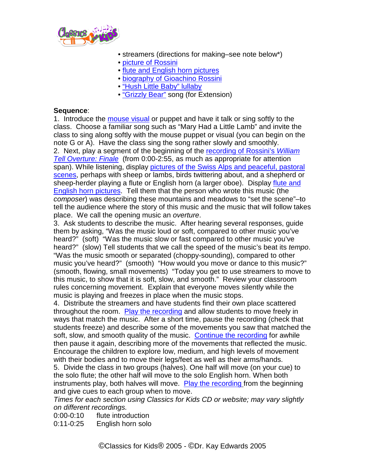

- streamers (directions for making–see note below\*)
- • [picture of Rossini](http://classicsforkids.com/composers/composer_profile.php?id=59)
- • [flute and English horn pictures](http://www.classicsforkids.com/downloads/rossini/FluteandEnglishHornpics.pdf)
- • [biography of Gioachino Rossini](http://classicsforkids.com/composers/composer_profile.php?id=59)
- • ["Hush Little Baby" lullaby](http://www.classicsforkids.com/downloads/rossini/HushLittleBaby.pdf)
- • ["Grizzly Bear"](http://www.classicsforkids.com/downloads/haydn/GrizzlyBear.pdf) song (for Extension)

#### **Sequence**:

1. Introduce the [mouse visual](http://www.classicsforkids.com/downloads/rossini/LionandMousevisuals.pdf) or puppet and have it talk or sing softly to the class. Choose a familiar song such as "Mary Had a Little Lamb" and invite the class to sing along softly with the mouse puppet or visual (you can begin on the note G or A). Have the class sing the song rather slowly and smoothly.

2. Next, play a segment of the beginning of the [recording of Rossini's](http://www.classicsforkids.com/music/hearthemusic.php?id=21) *William [Tell Overture: Finale](http://www.classicsforkids.com/music/music_view.asp?id=21)* (from 0:00-2:55, as much as appropriate for attention span). While listening, display pictures of the Swiss Alps and peaceful, pastoral [scenes,](http://www.classicsforkids.com/teachers/lessonplans/pdfs/alps.pdf) perhaps with sheep or lambs, birds twittering about, and a shepherd or sheep-herder playing a flute or English horn (a larger oboe). Display flute and [English horn pictures.](http://www.classicsforkids.com/downloads/rossini/FluteandEnglishHornpics.pdf) Tell them that the person who wrote this music (the *composer*) was describing these mountains and meadows to "set the scene"–to tell the audience where the story of this music and the music that will follow takes place. We call the opening music an *overture*.

3. Ask students to describe the music. After hearing several responses, guide them by asking, "Was the music loud or soft, compared to other music you've heard?" (soft) "Was the music slow or fast compared to other music you've heard?" (slow) Tell students that we call the speed of the music's beat its *tempo*. "Was the music smooth or separated (choppy-sounding), compared to other music you've heard?" (smooth) "How would you move or dance to this music?" (smooth, flowing, small movements) "Today you get to use streamers to move to this music, to show that it is soft, slow, and smooth." Review your classroom rules concerning movement. Explain that everyone moves silently while the music is playing and freezes in place when the music stops.

4. Distribute the streamers and have students find their own place scattered throughout the room. [Play the recording](http://www.classicsforkids.com/music/hearthemusic.php?id=21) and allow students to move freely in ways that match the music. After a short time, pause the recording (check that students freeze) and describe some of the movements you saw that matched the soft, slow, and smooth quality of the music. [Continue the recording](http://www.classicsforkids.com/music/hearthemusic.php?id=21) for awhile then pause it again, describing more of the movements that reflected the music. Encourage the children to explore low, medium, and high levels of movement with their bodies and to move their legs/feet as well as their arms/hands.

5. Divide the class in two groups (halves). One half will move (on your cue) to the solo flute; the other half will move to the solo English horn. When both instruments play, both halves will move. [Play the recording](http://www.classicsforkids.com/music/hearthemusic.php?id=21) from the beginning and give cues to each group when to move.

*Times for each section using Classics for Kids CD or website; may vary slightly on different recordings.*

0:00-0:10 flute introduction

0:11-0:25 English horn solo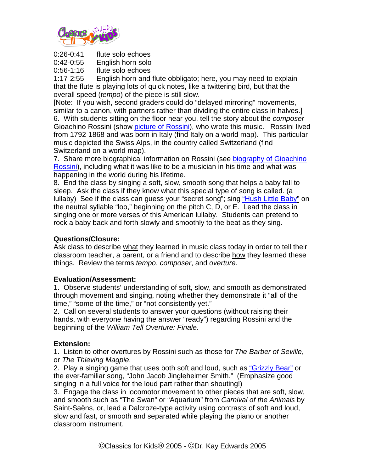

0:26-0:41 flute solo echoes<br>0:42-0:55 English horn solo

English horn solo

0:56-1:16 flute solo echoes<br>1:17-2:55 English horn and

English horn and flute obbligato; here, you may need to explain that the flute is playing lots of quick notes, like a twittering bird, but that the overall speed (*tempo*) of the piece is still slow.

[Note: If you wish, second graders could do "delayed mirroring" movements, similar to a canon, with partners rather than dividing the entire class in halves.] 6. With students sitting on the floor near you, tell the story about the *composer* Gioachino Rossini (show [picture of Rossini\)](http://classicsforkids.com/composers/composer_profile.php?id=59), who wrote this music. Rossini lived from 1792-1868 and was born in Italy (find Italy on a world map). This particular music depicted the Swiss Alps, in the country called Switzerland (find Switzerland on a world map).

7. Share more biographical information on Rossini (see [biography of Gioachino](http://classicsforkids.com/composers/composer_profile.php?id=59)  [Rossini\)](http://www.classicsforkids.com/composers/bio.asp?id=59), including what it was like to be a musician in his time and what was happening in the world during his lifetime.

8. End the class by singing a soft, slow, smooth song that helps a baby fall to sleep. Ask the class if they know what this special type of song is called. (a lullaby) See if the class can guess your "secret song"; sing ["Hush Little Baby"](http://www.classicsforkids.com/downloads/rossini/HushLittleBaby.pdf) on the neutral syllable "loo," beginning on the pitch C, D, or E. Lead the class in singing one or more verses of this American lullaby. Students can pretend to rock a baby back and forth slowly and smoothly to the beat as they sing.

## **Questions/Closure:**

Ask class to describe what they learned in music class today in order to tell their classroom teacher, a parent, or a friend and to describe how they learned these things. Review the terms *tempo*, *composer*, and *overture*.

## **Evaluation/Assessment:**

1. Observe students' understanding of soft, slow, and smooth as demonstrated through movement and singing, noting whether they demonstrate it "all of the time," "some of the time," or "not consistently yet."

2. Call on several students to answer your questions (without raising their hands, with everyone having the answer "ready") regarding Rossini and the beginning of the *William Tell Overture: Finale.*

## **Extension:**

1. Listen to other overtures by Rossini such as those for *The Barber of Seville*, or *The Thieving Magpie*.

2. Play a singing game that uses both soft and loud, such as ["Grizzly Bear"](http://www.classicsforkids.com/downloads/haydn/GrizzlyBear.pdf) or the ever-familiar song, "John Jacob Jingleheimer Smith." (Emphasize good singing in a full voice for the loud part rather than shouting!)

3. Engage the class in locomotor movement to other pieces that are soft, slow, and smooth such as "The Swan" or "Aquarium" from *Carnival of the Animals* by Saint-Saëns, or, lead a Dalcroze-type activity using contrasts of soft and loud, slow and fast, or smooth and separated while playing the piano or another classroom instrument.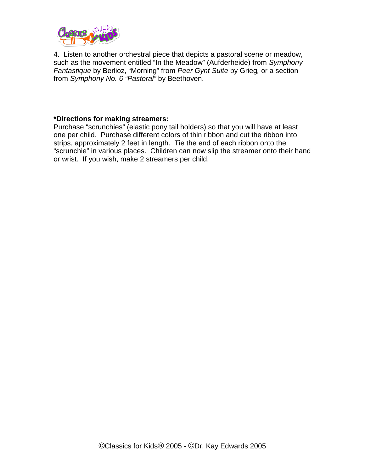

4. Listen to another orchestral piece that depicts a pastoral scene or meadow, such as the movement entitled "In the Meadow" (Aufderheide) from *Symphony Fantastique* by Berlioz, "Morning" from *Peer Gynt Suite* by Grieg*,* or a section from *Symphony No. 6 "Pastoral"* by Beethoven.

#### **\*Directions for making streamers:**

Purchase "scrunchies" (elastic pony tail holders) so that you will have at least one per child. Purchase different colors of thin ribbon and cut the ribbon into strips, approximately 2 feet in length. Tie the end of each ribbon onto the "scrunchie" in various places. Children can now slip the streamer onto their hand or wrist. If you wish, make 2 streamers per child.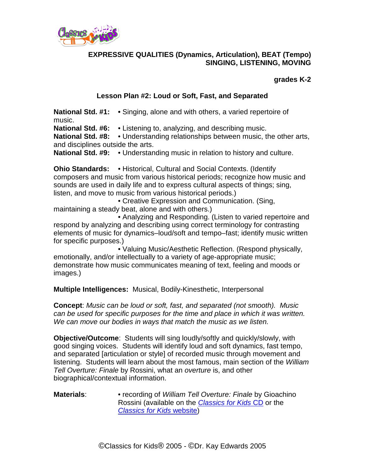

## **EXPRESSIVE QUALITIES (Dynamics, Articulation), BEAT (Tempo) SINGING, LISTENING, MOVING**

### **grades K-2**

## **Lesson Plan #2: Loud or Soft, Fast, and Separated**

**National Std. #1: •** Singing, alone and with others, a varied repertoire of music.

**National Std. #6:** • Listening to, analyzing, and describing music.

**National Std. #8:** • Understanding relationships between music, the other arts, and disciplines outside the arts.

**National Std. #9:** • Understanding music in relation to history and culture.

**Ohio Standards:** • Historical, Cultural and Social Contexts. (Identify composers and music from various historical periods; recognize how music and sounds are used in daily life and to express cultural aspects of things; sing, listen, and move to music from various historical periods.)

• Creative Expression and Communication. (Sing, maintaining a steady beat, alone and with others.)

• Analyzing and Responding. (Listen to varied repertoire and respond by analyzing and describing using correct terminology for contrasting elements of music for dynamics–loud/soft and tempo–fast; identify music written for specific purposes.)

• Valuing Music/Aesthetic Reflection. (Respond physically, emotionally, and/or intellectually to a variety of age-appropriate music; demonstrate how music communicates meaning of text, feeling and moods or images.)

**Multiple Intelligences:** Musical, Bodily-Kinesthetic, Interpersonal

**Concept**: *Music can be loud or soft, fast, and separated (not smooth). Music can be used for specific purposes for the time and place in which it was written. We can move our bodies in ways that match the music as we listen.*

**Objective/Outcome**: Students will sing loudly/softly and quickly/slowly, with good singing voices. Students will identify loud and soft dynamics, fast tempo, and separated [articulation or style] of recorded music through movement and listening. Students will learn about the most famous, main section of the *William Tell Overture: Finale* by Rossini, what an *overture* is, and other biographical/contextual information.

**Materials**: • recording of *William Tell Overture: Finale* by Gioachino Rossini (available on the *[Classics for Kids](https://secure2.convio.net/cpr/site/Ecommerce/1016304106?VIEW_PRODUCT=true&product_id=1080&store_id=1101)* CD or the *[Classics for Kids](http://www.classicsforkids.com/)* website)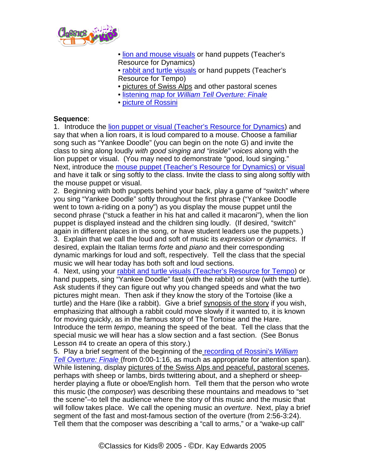

- [lion and mouse visuals](http://www.classicsforkids.com/downloads/haydn/LionandMousevisuals.pdf) or hand puppets (Teacher's Resource for Dynamics)
- [rabbit and turtle visuals](http://www.classicsforkids.com/downloads/rossini/RabbitandTurtle.pdf) or hand puppets (Teacher's Resource for Tempo)
- pictures of Swiss Alps and other pastoral scenes
- listening map for *[William Tell Overture: Finale](http://www.classicsforkids.com/downloads/rossini/WlmTellTapchartK-2.pdf)*
- [picture of Rossini](http://www.classicsforkids.com/composers/bio.asp?id=59)

### **Sequence**:

1. Introduce the [lion puppet or visual \(Teacher's Resource for Dynamics\)](http://www.classicsforkids.com/downloads/haydn/LionandMousevisuals.pdf) and say that when a lion roars, it is loud compared to a mouse. Choose a familiar song such as "Yankee Doodle" (you can begin on the note G) and invite the class to sing along loudly *with good singing and "inside" voices* along with the lion puppet or visual. (You may need to demonstrate "good, loud singing." Next, introduce the [mouse puppet \(Teacher's Resource for Dynamics\) or visual](http://www.classicsforkids.com/downloads/haydn/LionandMousevisuals.pdf) and have it talk or sing softly to the class. Invite the class to sing along softly with the mouse puppet or visual.

2. Beginning with both puppets behind your back, play a game of "switch" where you sing "Yankee Doodle" softly throughout the first phrase ("Yankee Doodle went to town a-riding on a pony") as you display the mouse puppet until the second phrase ("stuck a feather in his hat and called it macaroni"), when the lion puppet is displayed instead and the children sing loudly. (If desired, "switch" again in different places in the song, or have student leaders use the puppets.)

3. Explain that we call the loud and soft of music its *expression* or *dynamics*. If desired, explain the Italian terms *forte* and *piano* and their corresponding dynamic markings for loud and soft, respectively. Tell the class that the special music we will hear today has both soft and loud sections.

4. Next, using your [rabbit and turtle visuals \(Teacher's Resource for Tempo\)](http://www.classicsforkids.com/downloads/rossini/RabbitandTurtle.pdf) or hand puppets, sing "Yankee Doodle" fast (with the rabbit) or slow (with the turtle). Ask students if they can figure out why you changed speeds and what the two pictures might mean. Then ask if they know the story of the Tortoise (like a turtle) and the Hare (like a rabbit). Give a brief synopsis of the story if you wish, emphasizing that although a rabbit could move slowly if it wanted to, it is known for moving quickly, as in the famous story of The Tortoise and the Hare. Introduce the term *tempo*, meaning the speed of the beat. Tell the class that the special music we will hear has a slow section and a fast section. (See Bonus Lesson #4 to create an opera of this story.)

5. Play a brief segment of the beginning of the recording of Rossini's *William Tell Overture: Finale* (from 0:00-1:16, as much as appropriate for attention span). While listening, display pictures of the Swiss Alps and peaceful, pastoral scenes, perhaps with sheep or lambs, birds twittering about, and a shepherd or sheepherder playing a flute or oboe/English horn. Tell them that the person who wrote this music (the *composer*) was describing these mountains and meadows to "set the scene"–to tell the audience where the story of this music and the music that will follow takes place. We call the opening music an *overture*. Next, play a brief segment of the fast and most-famous section of the overture (from 2:56-3:24). Tell them that the composer was describing a "call to arms," or a "wake-up call"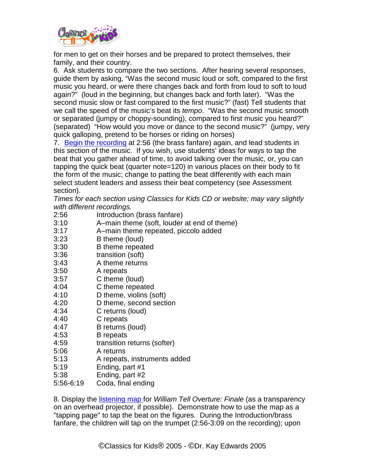

for men to get on their horses and be prepared to protect themselves, their family, and their country.

6. Ask students to compare the two sections. After hearing several responses, guide them by asking, "Was the second music loud or soft, compared to the first music you heard, or were there changes back and forth from loud to soft to loud again?" (loud in the beginning, but changes back and forth later). "Was the second music slow or fast compared to the first music?" (fast) Tell students that we call the speed of the music's beat its *tempo*. "Was the second music smooth or separated (jumpy or choppy-sounding), compared to first music you heard?" (separated) "How would you move or dance to the second music?" (jumpy, very quick galloping, pretend to be horses or riding on horses)

7. [Begin the recording](http://www.classicsforkids.com/music/hearthemusic.php?id=21) at 2:56 (the brass fanfare) again, and lead students in this section of the music. If you wish, use students' ideas for ways to tap the beat that you gather ahead of time, to avoid talking over the music, or, you can tapping the quick beat (quarter note=120) in various places on their body to fit the form of the music; change to patting the beat differently with each main select student leaders and assess their beat competency (see Assessment section).

*Times for each section using Classics for Kids CD or website; may vary slightly with different recordings.*

- 2:56 Introduction (brass fanfare)<br>3:10 A–main theme (soft. louder
- A–main theme (soft, louder at end of theme)
- 3:17 A–main theme repeated, piccolo added
- 3:23 B theme (loud)
- 3:30 B theme repeated
- 3:36 transition (soft)
- 3:43 A theme returns
- 3:50 A repeats
- 3:57 C theme (loud)
- 4:04 C theme repeated
- 4:10 D theme, violins (soft)
- 4:20 D theme, second section
- 4:34 C returns (loud)
- 4:40 C repeats
- 4:47 B returns (loud)
- 4:53 B repeats
- 4:59 transition returns (softer)
- 5:06 A returns
- 5:13 A repeats, instruments added
- 5:19 Ending, part #1
- 5:38 Ending, part #2
- 5:56-6:19 Coda, final ending

8. Display the [listening map](http://www.classicsforkids.com/downloads/rossini/WlmTellTapchartK-2.pdf) for *William Tell Overture: Finale* (as a transparency on an overhead projector, if possible). Demonstrate how to use the map as a "tapping page" to tap the beat on the figures. During the Introduction/brass fanfare, the children will tap on the trumpet (2:56-3:09 on the recording); upon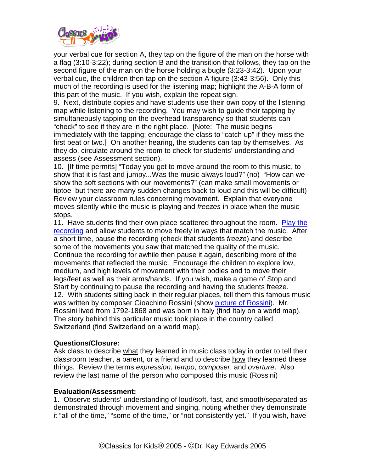

your verbal cue for section A, they tap on the figure of the man on the horse with a flag (3:10-3:22); during section B and the transition that follows, they tap on the second figure of the man on the horse holding a bugle (3:23-3:42). Upon your verbal cue, the children then tap on the section A figure (3:43-3:56). Only this much of the recording is used for the listening map; highlight the A-B-A form of this part of the music. If you wish, explain the repeat sign.

9. Next, distribute copies and have students use their own copy of the listening map while listening to the recording. You may wish to guide their tapping by simultaneously tapping on the overhead transparency so that students can "check" to see if they are in the right place. [Note: The music begins immediately with the tapping; encourage the class to "catch up" if they miss the first beat or two.] On another hearing, the students can tap by themselves. As they do, circulate around the room to check for students' understanding and assess (see Assessment section).

10. [If time permits] "Today you get to move around the room to this music, to show that it is fast and jumpy...Was the music always loud?" (no) "How can we show the soft sections with our movements?" (can make small movements or tiptoe–but there are many sudden changes back to loud and this will be difficult) Review your classroom rules concerning movement. Explain that everyone moves silently while the music is playing and *freezes* in place when the music stops.

11. Have students find their own place scattered throughout the room. [Play the](http://www.classicsforkids.com/music/hear.asp?id=21)  [recording](http://www.classicsforkids.com/music/hearthemusic.php?id=21) and allow students to move freely in ways that match the music. After a short time, pause the recording (check that students *freeze*) and describe some of the movements you saw that matched the quality of the music. Continue the recording for awhile then pause it again, describing more of the movements that reflected the music. Encourage the children to explore low, medium, and high levels of movement with their bodies and to move their legs/feet as well as their arms/hands. If you wish, make a game of Stop and Start by continuing to pause the recording and having the students freeze. 12. With students sitting back in their regular places, tell them this famous music was written by composer Gioachino Rossini (show [picture of Rossini\)](http://www.classicsforkids.com/composers/composer_profile.php?id=59). Mr. Rossini lived from 1792-1868 and was born in Italy (find Italy on a world map). The story behind this particular music took place in the country called Switzerland (find Switzerland on a world map).

#### **Questions/Closure:**

Ask class to describe what they learned in music class today in order to tell their classroom teacher, a parent, or a friend and to describe how they learned these things. Review the terms *expression*, *tempo*, *composer*, and *overture*. Also review the last name of the person who composed this music (Rossini)

#### **Evaluation/Assessment:**

1. Observe students' understanding of loud/soft, fast, and smooth/separated as demonstrated through movement and singing, noting whether they demonstrate it "all of the time," "some of the time," or "not consistently yet." If you wish, have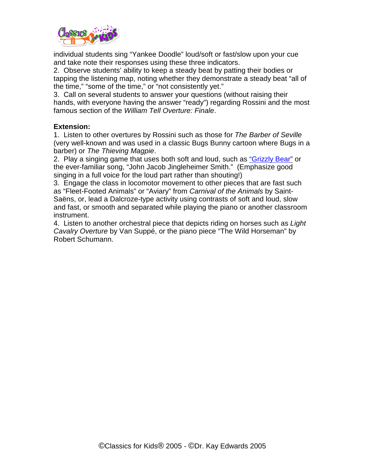

individual students sing "Yankee Doodle" loud/soft or fast/slow upon your cue and take note their responses using these three indicators.

2. Observe students' ability to keep a steady beat by patting their bodies or tapping the listening map, noting whether they demonstrate a steady beat "all of the time," "some of the time," or "not consistently yet."

3. Call on several students to answer your questions (without raising their hands, with everyone having the answer "ready") regarding Rossini and the most famous section of the *William Tell Overture: Finale*.

## **Extension:**

1. Listen to other overtures by Rossini such as those for *The Barber of Seville* (very well-known and was used in a classic Bugs Bunny cartoon where Bugs in a barber) or *The Thieving Magpie*.

2. Play a singing game that uses both soft and loud, such as ["Grizzly Bear"](http://www.classicsforkids.com/downloads/haydn/GrizzlyBear.pdf) or the ever-familiar song, "John Jacob Jingleheimer Smith." (Emphasize good singing in a full voice for the loud part rather than shouting!)

3. Engage the class in locomotor movement to other pieces that are fast such as "Fleet-Footed Animals" or "Aviary" from *Carnival of the Animals* by Saint-Saëns, or, lead a Dalcroze-type activity using contrasts of soft and loud, slow and fast, or smooth and separated while playing the piano or another classroom instrument.

4. Listen to another orchestral piece that depicts riding on horses such as *Light Cavalry Overture* by Van Suppé, or the piano piece "The Wild Horseman" by Robert Schumann.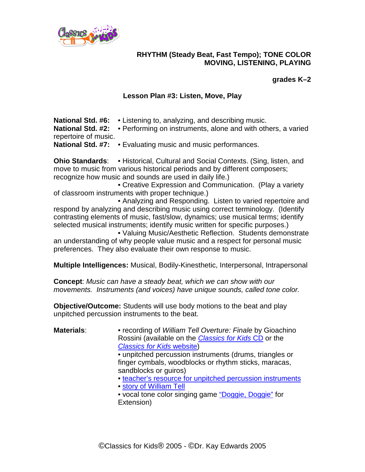

## **RHYTHM (Steady Beat, Fast Tempo); TONE COLOR MOVING, LISTENING, PLAYING**

## **grades K–2**

## **Lesson Plan #3: Listen, Move, Play**

**National Std. #6:** • Listening to, analyzing, and describing music. **National Std. #2:** • Performing on instruments, alone and with others, a varied repertoire of music. **National Std. #7:** • Evaluating music and music performances.

**Ohio Standards**: • Historical, Cultural and Social Contexts. (Sing, listen, and move to music from various historical periods and by different composers; recognize how music and sounds are used in daily life.)

• Creative Expression and Communication. (Play a variety of classroom instruments with proper technique.)

• Analyzing and Responding. Listen to varied repertoire and respond by analyzing and describing music using correct terminology. (Identify contrasting elements of music, fast/slow, dynamics; use musical terms; identify selected musical instruments; identify music written for specific purposes.)

• Valuing Music/Aesthetic Reflection. Students demonstrate an understanding of why people value music and a respect for personal music preferences. They also evaluate their own response to music.

**Multiple Intelligences:** Musical, Bodily-Kinesthetic, Interpersonal, Intrapersonal

**Concept**: *Music can have a steady beat, which we can show with our movements. Instruments (and voices) have unique sounds, called tone color.* 

**Objective/Outcome:** Students will use body motions to the beat and play unpitched percussion instruments to the beat.

**Materials**: • recording of *William Tell Overture: Finale* by Gioachino Rossini (available on the *[Classics for Kids](https://secure2.convio.net/cpr/site/Ecommerce/2053828782?VIEW_PRODUCT=true&product_id=1080&store_id=1101)* CD or the *[Classics for Kids](http://www.classicsforkids.com/)* website)

• unpitched percussion instruments (drums, triangles or finger cymbals, woodblocks or rhythm sticks, maracas, sandblocks or guiros)

• [teacher's resource for unpitched percussion](http://www.classicsforkids.com/downloads/rossini/tchrResUnpitchedInstrGrid.pdf) instruments

• [story of William Tell](http://www.classicsforkids.com/activitysheets/February2004.pdf)

• vocal tone color singing game ["Doggie, Doggie"](http://www.classicsforkids.com/downloads/rossini/DoggieDoggiewithBone.pdf) for Extension)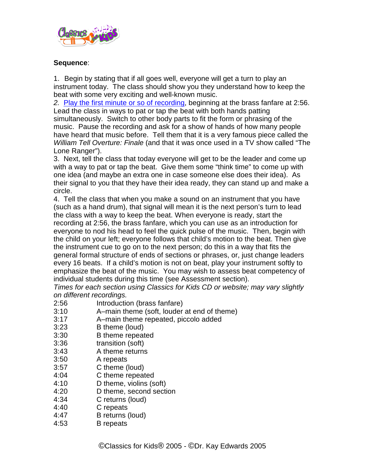

## **Sequence**:

1. Begin by stating that if all goes well, everyone will get a turn to play an instrument today. The class should show you they understand how to keep the beat with some very exciting and well-known music.

*2.* [Play the first minute or so of recording,](http://www.classicsforkids.com/music/hearthemusic.php?id=21) beginning at the brass fanfare at 2:56. Lead the class in ways to pat or tap the beat with both hands patting simultaneously. Switch to other body parts to fit the form or phrasing of the music. Pause the recording and ask for a show of hands of how many people have heard that music before. Tell them that it is a very famous piece called the *William Tell Overture: Finale* (and that it was once used in a TV show called "The Lone Ranger").

3. Next, tell the class that today everyone will get to be the leader and come up with a way to pat or tap the beat. Give them some "think time" to come up with one idea (and maybe an extra one in case someone else does their idea). As their signal to you that they have their idea ready, they can stand up and make a circle.

4. Tell the class that when you make a sound on an instrument that you have (such as a hand drum), that signal will mean it is the next person's turn to lead the class with a way to keep the beat. When everyone is ready, start the recording at 2:56, the brass fanfare, which you can use as an introduction for everyone to nod his head to feel the quick pulse of the music. Then, begin with the child on your left; everyone follows that child's motion to the beat. Then give the instrument cue to go on to the next person; do this in a way that fits the general formal structure of ends of sections or phrases, or, just change leaders every 16 beats. If a child's motion is not on beat, play your instrument softly to emphasize the beat of the music. You may wish to assess beat competency of individual students during this time (see Assessment section).

*Times for each section using Classics for Kids CD or website; may vary slightly on different recordings.*

- 2:56 Introduction (brass fanfare)
- 3:10 A–main theme (soft, louder at end of theme)
- 3:17 A–main theme repeated, piccolo added
- 3:23 B theme (loud)
- 3:30 B theme repeated
- 3:36 transition (soft)
- 3:43 A theme returns
- 3:50 A repeats
- 3:57 C theme (loud)
- 4:04 C theme repeated<br>4:10 D theme, violins (s
- D theme, violins (soft)
- 4:20 D theme, second section
- 4:34 C returns (loud)
- 4:40 C repeats
- 4:47 B returns (loud)
- 4:53 B repeats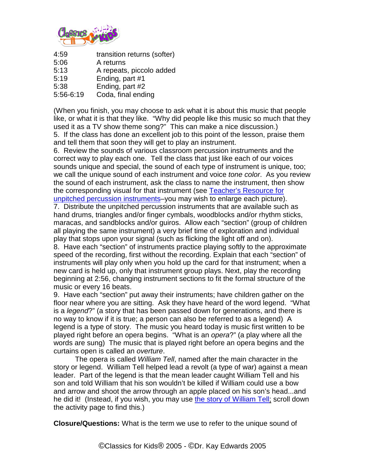

| 4:59 | transition returns (softer) |  |
|------|-----------------------------|--|
|------|-----------------------------|--|

5:06 A returns<br>5:13 A repeats

- 5:13 A repeats, piccolo added<br>5:19 Ending. part #1
- Ending, part #1
- 5:38 Ending, part #2

5:56-6:19 Coda, final ending

(When you finish, you may choose to ask what it is about this music that people like, or what it is that they like. "Why did people like this music so much that they used it as a TV show theme song?" This can make a nice discussion.) 5. If the class has done an excellent job to this point of the lesson, praise them and tell them that soon they will get to play an instrument.

6. Review the sounds of various classroom percussion instruments and the correct way to play each one. Tell the class that just like each of our voices sounds unique and special, the sound of each type of instrument is unique, too; we call the unique sound of each instrument and voice *tone color*. As you review the sound of each instrument, ask the class to name the instrument, then show the corresponding visual for that instrument (see [Teacher's Resource for](http://www.classicsforkids.com/downloads/rossini/tchrResUnpitchedInstrGrid.pdf)  [unpitched percussion instruments–](http://www.classicsforkids.com/teachers/lessonplans/pdfs/rossini/tchrResUnpitchedInstrGrid.pdf)you may wish to enlarge each picture).

7. Distribute the unpitched percussion instruments that are available such as hand drums, triangles and/or finger cymbals, woodblocks and/or rhythm sticks, maracas, and sandblocks and/or guiros. Allow each "section" (group of children all playing the same instrument) a very brief time of exploration and individual play that stops upon your signal (such as flicking the light off and on).

8. Have each "section" of instruments practice playing softly to the approximate speed of the recording, first without the recording. Explain that each "section" of instruments will play only when you hold up the card for that instrument; when a new card is held up, only that instrument group plays. Next, play the recording beginning at 2:56, changing instrument sections to fit the formal structure of the music or every 16 beats.

9. Have each "section" put away their instruments; have children gather on the floor near where you are sitting. Ask they have heard of the word legend. "What is a *legend*?" (a story that has been passed down for generations, and there is no way to know if it is true; a person can also be referred to as a legend) A legend is a type of story. The music you heard today is music first written to be played right before an opera begins. "What is an *opera*?" (a play where all the words are sung) The music that is played right before an opera begins and the curtains open is called an *overture*.

The opera is called *William Tell*, named after the main character in the story or legend. William Tell helped lead a revolt (a type of war) against a mean leader. Part of the legend is that the mean leader caught William Tell and his son and told William that his son wouldn't be killed if William could use a bow and arrow and shoot the arrow through an apple placed on his son's head...and he did it! (Instead, if you wish, you may use [the story of William Tell;](http://www.classicsforkids.com/activitysheets/February2004.pdf) scroll down the activity page to find this.)

**Closure/Questions:** What is the term we use to refer to the unique sound of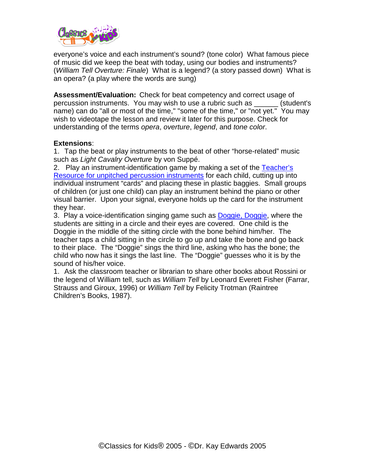

everyone's voice and each instrument's sound? (tone color) What famous piece of music did we keep the beat with today, using our bodies and instruments? (*William Tell Overture: Finale*) What is a legend? (a story passed down) What is an opera? (a play where the words are sung)

**Assessment/Evaluation:** Check for beat competency and correct usage of percussion instruments. You may wish to use a rubric such as \_\_\_\_\_\_ (student's name) can do "all or most of the time," "some of the time," or "not yet." You may wish to videotape the lesson and review it later for this purpose. Check for understanding of the terms *opera*, *overture*, *legend*, and *tone color*.

### **Extensions**:

1. Tap the beat or play instruments to the beat of other "horse-related" music such as *Light Cavalry Overture* by von Suppé.

2. Play an instrument-identification game by making a set of the Teacher's [Resource for unpitched percussion instruments](http://www.classicsforkids.com/downloads/rossini/tchrResUnpitchedInstrGrid.pdf) for each child, cutting up into individual instrument "cards" and placing these in plastic baggies. Small groups of children (or just one child) can play an instrument behind the piano or other visual barrier. Upon your signal, everyone holds up the card for the instrument they hear.

3. Play a voice-identification singing game such as **Doggie, Doggie**, where the students are sitting in a circle and their eyes are covered. One child is the Doggie in the middle of the sitting circle with the bone behind him/her. The teacher taps a child sitting in the circle to go up and take the bone and go back to their place. The "Doggie" sings the third line, asking who has the bone; the child who now has it sings the last line. The "Doggie" guesses who it is by the sound of his/her voice.

1. Ask the classroom teacher or librarian to share other books about Rossini or the legend of William tell, such as *William Tell* by Leonard Everett Fisher (Farrar, Strauss and Giroux, 1996) or *William Tell* by Felicity Trotman (Raintree Children's Books, 1987).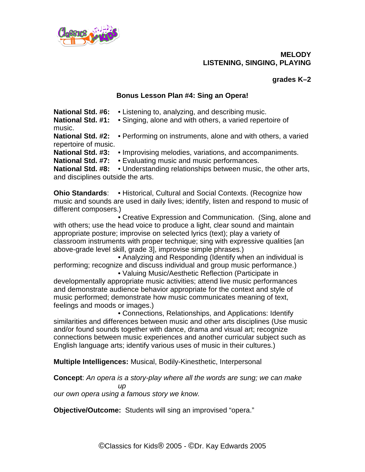

**MELODY LISTENING, SINGING, PLAYING**

## **grades K–2**

## **Bonus Lesson Plan #4: Sing an Opera!**

**National Std. #6:** • Listening to, analyzing, and describing music. **National Std. #1:** • Singing, alone and with others, a varied repertoire of music.

**National Std. #2:** • Performing on instruments, alone and with others, a varied repertoire of music.

**National Std. #3: • Improvising melodies, variations, and accompaniments.**<br>**National Std. #7: •** Evaluating music and music performances.

• Evaluating music and music performances.

**National Std. #8:** • Understanding relationships between music, the other arts, and disciplines outside the arts.

**Ohio Standards: • Historical, Cultural and Social Contexts. (Recognize how** music and sounds are used in daily lives; identify, listen and respond to music of different composers.)

• Creative Expression and Communication. (Sing, alone and with others; use the head voice to produce a light, clear sound and maintain appropriate posture; improvise on selected lyrics (text); play a variety of classroom instruments with proper technique; sing with expressive qualities [an above-grade level skill, grade 3], improvise simple phrases.)

• Analyzing and Responding (Identify when an individual is performing; recognize and discuss individual and group music performance.)

• Valuing Music/Aesthetic Reflection (Participate in developmentally appropriate music activities; attend live music performances and demonstrate audience behavior appropriate for the context and style of music performed; demonstrate how music communicates meaning of text, feelings and moods or images.)

• Connections, Relationships, and Applications: Identify similarities and differences between music and other arts disciplines (Use music and/or found sounds together with dance, drama and visual art; recognize connections between music experiences and another curricular subject such as English language arts; identify various uses of music in their cultures.)

**Multiple Intelligences:** Musical, Bodily-Kinesthetic, Interpersonal

**Concept**: *An opera is a story-play where all the words are sung; we can make up* 

*our own opera using a famous story we know.*

**Objective/Outcome:** Students will sing an improvised "opera."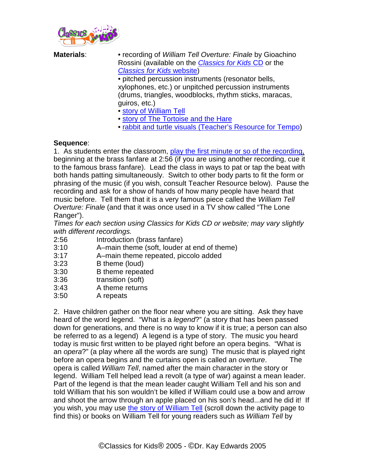

| <b>Materials:</b> | • recording of William Tell Overture: Finale by Gioachino<br>Rossini (available on the <i>Classics for Kids CD</i> or the<br><b>Classics for Kids website)</b><br>· pitched percussion instruments (resonator bells,<br>xylophones, etc.) or unpitched percussion instruments<br>(drums, triangles, woodblocks, rhythm sticks, maracas,<br>guiros, etc.)<br>• story of William Tell<br>. story of The Tortoise and the Hare |
|-------------------|-----------------------------------------------------------------------------------------------------------------------------------------------------------------------------------------------------------------------------------------------------------------------------------------------------------------------------------------------------------------------------------------------------------------------------|
|                   |                                                                                                                                                                                                                                                                                                                                                                                                                             |

• [rabbit and turtle visuals \(Teacher's Resource for Tempo\)](http://www.classicsforkids.com/downloads/rossini/RabbitandTurtle.pdf)

### **Sequence**:

1. As students enter the classroom, [play the first minute or so of the recording,](http://www.classicsforkids.com/music/hearthemusic.php?id=21) beginning at the brass fanfare at 2:56 (if you are using another recording, cue it to the famous brass fanfare). Lead the class in ways to pat or tap the beat with both hands patting simultaneously. Switch to other body parts to fit the form or phrasing of the music (if you wish, consult Teacher Resource below). Pause the recording and ask for a show of hands of how many people have heard that music before. Tell them that it is a very famous piece called the *William Tell Overture: Finale* (and that it was once used in a TV show called "The Lone Ranger").

*Times for each section using Classics for Kids CD or website; may vary slightly with different recordings.*

- 2:56 Introduction (brass fanfare)
- 3:10 A–main theme (soft, louder at end of theme)
- 3:17 A–main theme repeated, piccolo added
- 3:23 B theme (loud)
- 3:30 B theme repeated<br>3:36 transition (soft)
- transition (soft)
- 3:43 A theme returns<br>3:50 A repeats
- A repeats

2. Have children gather on the floor near where you are sitting. Ask they have heard of the word legend. "What is a *legend*?" (a story that has been passed down for generations, and there is no way to know if it is true; a person can also be referred to as a legend) A legend is a type of story. The music you heard today is music first written to be played right before an opera begins. "What is an *opera*?" (a play where all the words are sung) The music that is played right before an opera begins and the curtains open is called an *overture*. The opera is called *William Tell*, named after the main character in the story or legend. William Tell helped lead a revolt (a type of war) against a mean leader. Part of the legend is that the mean leader caught William Tell and his son and told William that his son wouldn't be killed if William could use a bow and arrow and shoot the arrow through an apple placed on his son's head...and he did it! If you wish, you may use [the story of William Tell](http://www.classicsforkids.com/activitysheets/February2004.pdf) (scroll down the activity page to find this) or books on William Tell for young readers such as *William Tell* by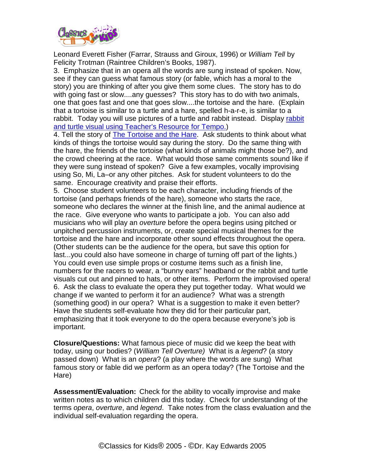

Leonard Everett Fisher (Farrar, Strauss and Giroux, 1996) or *William Tell* by Felicity Trotman (Raintree Children's Books, 1987).

3. Emphasize that in an opera all the words are sung instead of spoken. Now, see if they can guess what famous story (or fable, which has a moral to the story) you are thinking of after you give them some clues. The story has to do with going fast or slow....any guesses? This story has to do with two animals, one that goes fast and one that goes slow....the tortoise and the hare. (Explain that a tortoise is similar to a turtle and a hare, spelled h-a-r-e, is similar to a rabbit. Today you will use pictures of a turtle and [rabbit](http://www.classicsforkids.com/teachers/lessonplans/pdfs/rossini/RabbitandTurtle.pdf) instead. Display rabbit [and turtle visual using Teacher's Resource for Tempo.\)](http://www.classicsforkids.com/downloads/rossini/RabbitandTurtle.pdf)

4. Tell the story of [The Tortoise and the Hare.](http://www.classicsforkids.com/downloads/rossini/tortoise2.pdf) Ask students to think about what kinds of things the tortoise would say during the story. Do the same thing with the hare, the friends of the tortoise (what kinds of animals might those be?), and the crowd cheering at the race. What would those same comments sound like if they were sung instead of spoken? Give a few examples, vocally improvising using So, Mi, La–or any other pitches. Ask for student volunteers to do the same. Encourage creativity and praise their efforts.

5. Choose student volunteers to be each character, including friends of the tortoise (and perhaps friends of the hare), someone who starts the race, someone who declares the winner at the finish line, and the animal audience at the race. Give everyone who wants to participate a job. You can also add musicians who will play an *overture* before the opera begins using pitched or unpitched percussion instruments, or, create special musical themes for the tortoise and the hare and incorporate other sound effects throughout the opera. (Other students can be the audience for the opera, but save this option for last...you could also have someone in charge of turning off part of the lights.) You could even use simple props or costume items such as a finish line, numbers for the racers to wear, a "bunny ears" headband or the rabbit and turtle visuals cut out and pinned to hats, or other items. Perform the improvised opera! 6. Ask the class to evaluate the opera they put together today. What would we change if we wanted to perform it for an audience? What was a strength (something good) in our opera? What is a suggestion to make it even better? Have the students self-evaluate how they did for their particular part, emphasizing that it took everyone to do the opera because everyone's job is important.

**Closure/Questions:** What famous piece of music did we keep the beat with today, using our bodies? (*William Tell Overture)* What is a *legend*? (a story passed down) What is an *opera*? (a play where the words are sung) What famous story or fable did we perform as an opera today? (The Tortoise and the Hare)

**Assessment/Evaluation:** Check for the ability to vocally improvise and make written notes as to which children did this today. Check for understanding of the terms *opera*, *overture*, and *legend*. Take notes from the class evaluation and the individual self-evaluation regarding the opera.